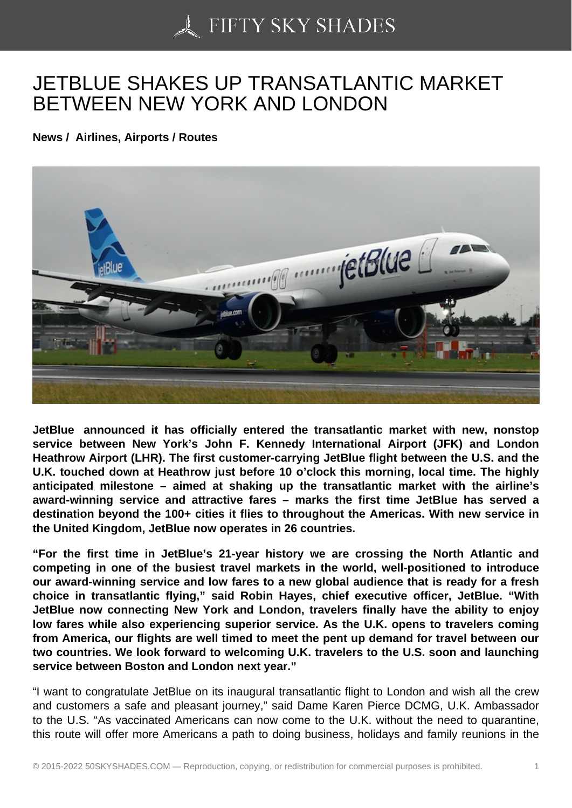## [JETBLUE SHAKES UP](https://50skyshades.com) TRANSATLANTIC MARKET BETWEEN NEW YORK AND LONDON

News / Airlines, Airports / Routes

JetBlue announced it has officially entered the transatlantic market with new, nonstop service between New York's John F. Kennedy International Airport (JFK) and London Heathrow Airport (LHR). The first customer-carrying JetBlue flight between the U.S. and the U.K. touched down at Heathrow just before 10 o'clock this morning, local time. The highly anticipated milestone – aimed at shaking up the transatlantic market with the airline's award-winning service and attractive fares – marks the first time JetBlue has served a destination beyond the 100+ cities it flies to throughout the Americas. With new service in the United Kingdom, JetBlue now operates in 26 countries.

"For the first time in JetBlue's 21-year history we are crossing the North Atlantic and competing in one of the busiest travel markets in the world, well-positioned to introduce our award-winning service and low fares to a new global audience that is ready for a fresh choice in transatlantic flying," said Robin Hayes, chief executive officer, JetBlue. "With JetBlue now connecting New York and London, travelers finally have the ability to enjoy low fares while also experiencing superior service. As the U.K. opens to travelers coming from America, our flights are well timed to meet the pent up demand for travel between our two countries. We look forward to welcoming U.K. travelers to the U.S. soon and launching service between Boston and London next year."

"I want to congratulate JetBlue on its inaugural transatlantic flight to London and wish all the crew and customers a safe and pleasant journey," said Dame Karen Pierce DCMG, U.K. Ambassador to the U.S. "As vaccinated Americans can now come to the U.K. without the need to quarantine, this route will offer more Americans a path to doing business, holidays and family reunions in the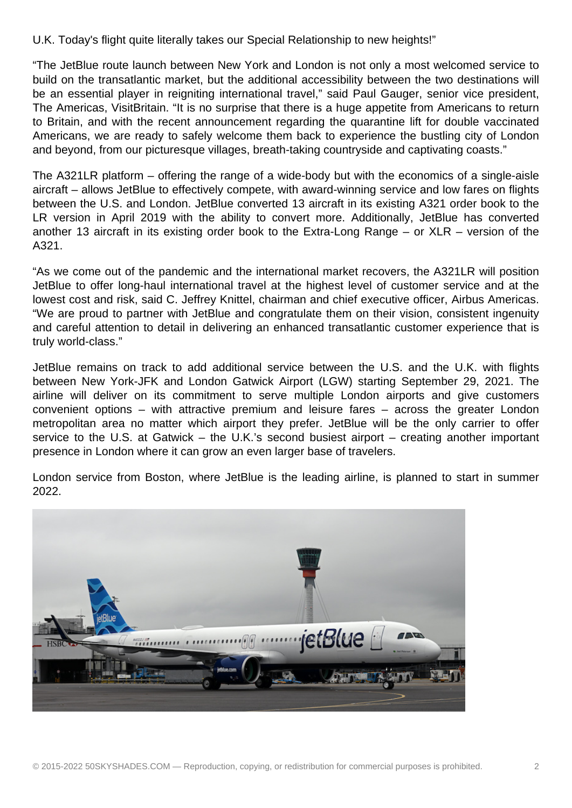U.K. Today's flight quite literally takes our Special Relationship to new heights!"

"The JetBlue route launch between New York and London is not only a most welcomed service to build on the transatlantic market, but the additional accessibility between the two destinations will be an essential player in reigniting international travel," said Paul Gauger, senior vice president, The Americas, VisitBritain. "It is no surprise that there is a huge appetite from Americans to return to Britain, and with the recent announcement regarding the quarantine lift for double vaccinated Americans, we are ready to safely welcome them back to experience the bustling city of London and beyond, from our picturesque villages, breath-taking countryside and captivating coasts."

The A321LR platform – offering the range of a wide-body but with the economics of a single-aisle aircraft – allows JetBlue to effectively compete, with award-winning service and low fares on flights between the U.S. and London. JetBlue converted 13 aircraft in its existing A321 order book to the LR version in April 2019 with the ability to convert more. Additionally, JetBlue has converted another 13 aircraft in its existing order book to the Extra-Long Range – or XLR – version of the A321.

"As we come out of the pandemic and the international market recovers, the A321LR will position JetBlue to offer long-haul international travel at the highest level of customer service and at the lowest cost and risk, said C. Jeffrey Knittel, chairman and chief executive officer, Airbus Americas. "We are proud to partner with JetBlue and congratulate them on their vision, consistent ingenuity and careful attention to detail in delivering an enhanced transatlantic customer experience that is truly world-class."

JetBlue remains on track to add additional service between the U.S. and the U.K. with flights between New York-JFK and London Gatwick Airport (LGW) starting September 29, 2021. The airline will deliver on its commitment to serve multiple London airports and give customers convenient options – with attractive premium and leisure fares – across the greater London metropolitan area no matter which airport they prefer. JetBlue will be the only carrier to offer service to the U.S. at Gatwick – the U.K.'s second busiest airport – creating another important presence in London where it can grow an even larger base of travelers.

London service from Boston, where JetBlue is the leading airline, is planned to start in summer 2022.